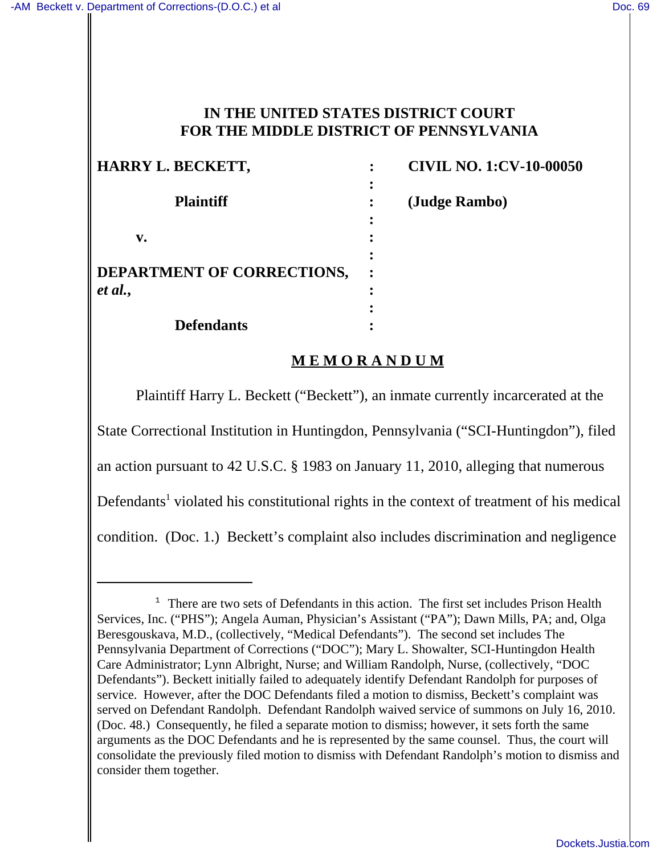## **IN THE UNITED STATES DISTRICT COURT FOR THE MIDDLE DISTRICT OF PENNSYLVANIA**

| HARRY L. BECKETT,                 | <b>CIVIL NO. 1:CV-10-00050</b> |
|-----------------------------------|--------------------------------|
|                                   |                                |
| <b>Plaintiff</b>                  | (Judge Rambo)                  |
|                                   |                                |
| v.                                |                                |
|                                   |                                |
| <b>DEPARTMENT OF CORRECTIONS,</b> |                                |
| et al.,                           |                                |
|                                   |                                |
| <b>Defendants</b>                 |                                |

# **M E M O R A N D U M**

Plaintiff Harry L. Beckett ("Beckett"), an inmate currently incarcerated at the State Correctional Institution in Huntingdon, Pennsylvania ("SCI-Huntingdon"), filed an action pursuant to 42 U.S.C. § 1983 on January 11, 2010, alleging that numerous Defendants<sup>1</sup> violated his constitutional rights in the context of treatment of his medical condition. (Doc. 1.) Beckett's complaint also includes discrimination and negligence

<sup>&</sup>lt;sup>1</sup> There are two sets of Defendants in this action. The first set includes Prison Health Services, Inc. ("PHS"); Angela Auman, Physician's Assistant ("PA"); Dawn Mills, PA; and, Olga Beresgouskava, M.D., (collectively, "Medical Defendants"). The second set includes The Pennsylvania Department of Corrections ("DOC"); Mary L. Showalter, SCI-Huntingdon Health Care Administrator; Lynn Albright, Nurse; and William Randolph, Nurse, (collectively, "DOC Defendants"). Beckett initially failed to adequately identify Defendant Randolph for purposes of service. However, after the DOC Defendants filed a motion to dismiss, Beckett's complaint was served on Defendant Randolph. Defendant Randolph waived service of summons on July 16, 2010. (Doc. 48.) Consequently, he filed a separate motion to dismiss; however, it sets forth the same arguments as the DOC Defendants and he is represented by the same counsel. Thus, the court will consolidate the previously filed motion to dismiss with Defendant Randolph's motion to dismiss and consider them together.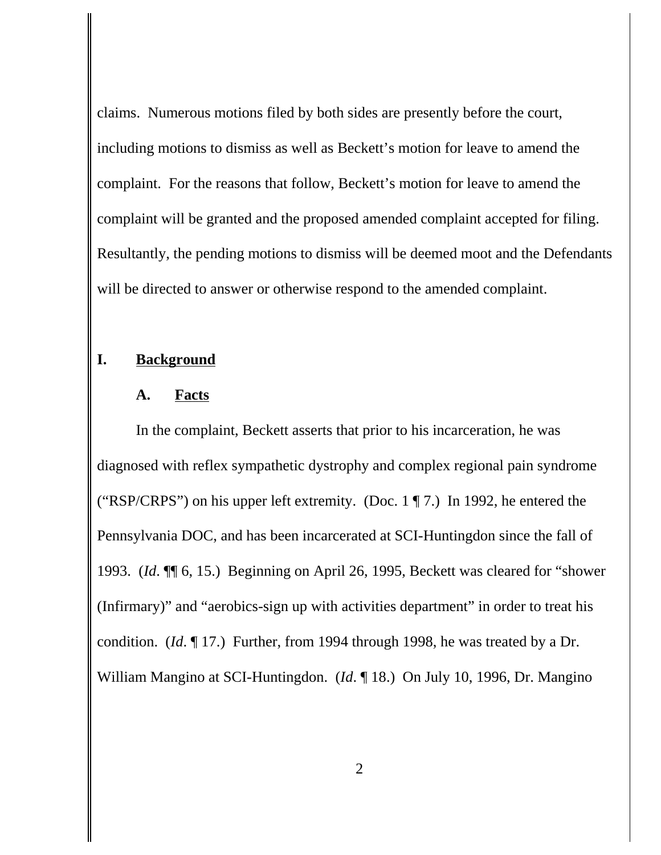claims. Numerous motions filed by both sides are presently before the court, including motions to dismiss as well as Beckett's motion for leave to amend the complaint. For the reasons that follow, Beckett's motion for leave to amend the complaint will be granted and the proposed amended complaint accepted for filing. Resultantly, the pending motions to dismiss will be deemed moot and the Defendants will be directed to answer or otherwise respond to the amended complaint.

## **I. Background**

#### **A. Facts**

In the complaint, Beckett asserts that prior to his incarceration, he was diagnosed with reflex sympathetic dystrophy and complex regional pain syndrome ("RSP/CRPS") on his upper left extremity. (Doc. 1 ¶ 7.) In 1992, he entered the Pennsylvania DOC, and has been incarcerated at SCI-Huntingdon since the fall of 1993. (*Id*. ¶¶ 6, 15.) Beginning on April 26, 1995, Beckett was cleared for "shower (Infirmary)" and "aerobics-sign up with activities department" in order to treat his condition. (*Id*. ¶ 17.) Further, from 1994 through 1998, he was treated by a Dr. William Mangino at SCI-Huntingdon. (*Id*. ¶ 18.) On July 10, 1996, Dr. Mangino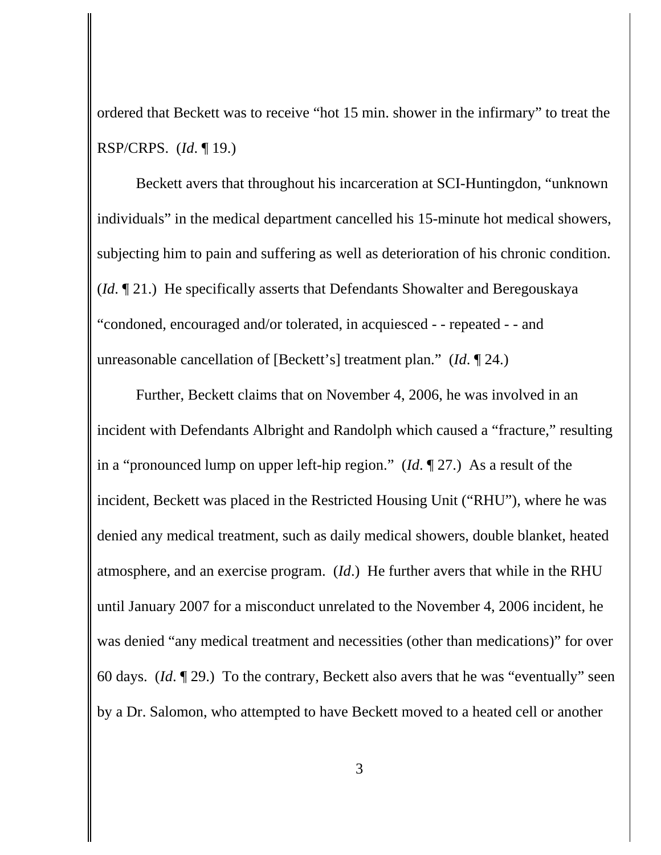ordered that Beckett was to receive "hot 15 min. shower in the infirmary" to treat the RSP/CRPS. (*Id*. ¶ 19.)

Beckett avers that throughout his incarceration at SCI-Huntingdon, "unknown individuals" in the medical department cancelled his 15-minute hot medical showers, subjecting him to pain and suffering as well as deterioration of his chronic condition. (*Id*. ¶ 21.) He specifically asserts that Defendants Showalter and Beregouskaya "condoned, encouraged and/or tolerated, in acquiesced - - repeated - - and unreasonable cancellation of [Beckett's] treatment plan." (*Id*. ¶ 24.)

Further, Beckett claims that on November 4, 2006, he was involved in an incident with Defendants Albright and Randolph which caused a "fracture," resulting in a "pronounced lump on upper left-hip region." (*Id*. ¶ 27.) As a result of the incident, Beckett was placed in the Restricted Housing Unit ("RHU"), where he was denied any medical treatment, such as daily medical showers, double blanket, heated atmosphere, and an exercise program. (*Id*.) He further avers that while in the RHU until January 2007 for a misconduct unrelated to the November 4, 2006 incident, he was denied "any medical treatment and necessities (other than medications)" for over 60 days. (*Id*. ¶ 29.) To the contrary, Beckett also avers that he was "eventually" seen by a Dr. Salomon, who attempted to have Beckett moved to a heated cell or another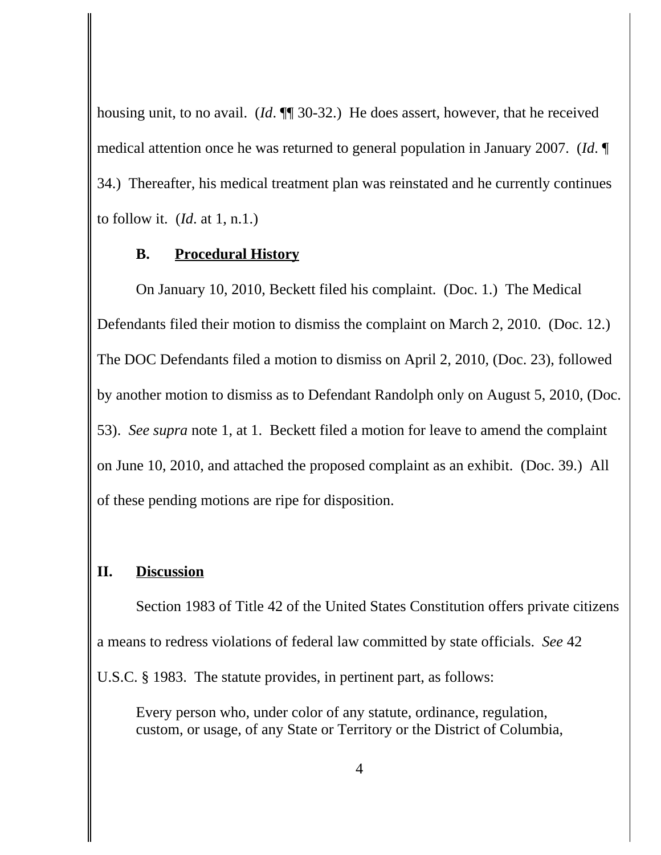housing unit, to no avail. (*Id*. ¶¶ 30-32.) He does assert, however, that he received medical attention once he was returned to general population in January 2007. (*Id*. ¶ 34.) Thereafter, his medical treatment plan was reinstated and he currently continues to follow it. (*Id*. at 1, n.1.)

#### **B. Procedural History**

On January 10, 2010, Beckett filed his complaint. (Doc. 1.) The Medical Defendants filed their motion to dismiss the complaint on March 2, 2010. (Doc. 12.) The DOC Defendants filed a motion to dismiss on April 2, 2010, (Doc. 23), followed by another motion to dismiss as to Defendant Randolph only on August 5, 2010, (Doc. 53). *See supra* note 1, at 1. Beckett filed a motion for leave to amend the complaint on June 10, 2010, and attached the proposed complaint as an exhibit. (Doc. 39.) All of these pending motions are ripe for disposition.

## **II. Discussion**

Section 1983 of Title 42 of the United States Constitution offers private citizens a means to redress violations of federal law committed by state officials. *See* 42 U.S.C. § 1983. The statute provides, in pertinent part, as follows:

Every person who, under color of any statute, ordinance, regulation, custom, or usage, of any State or Territory or the District of Columbia,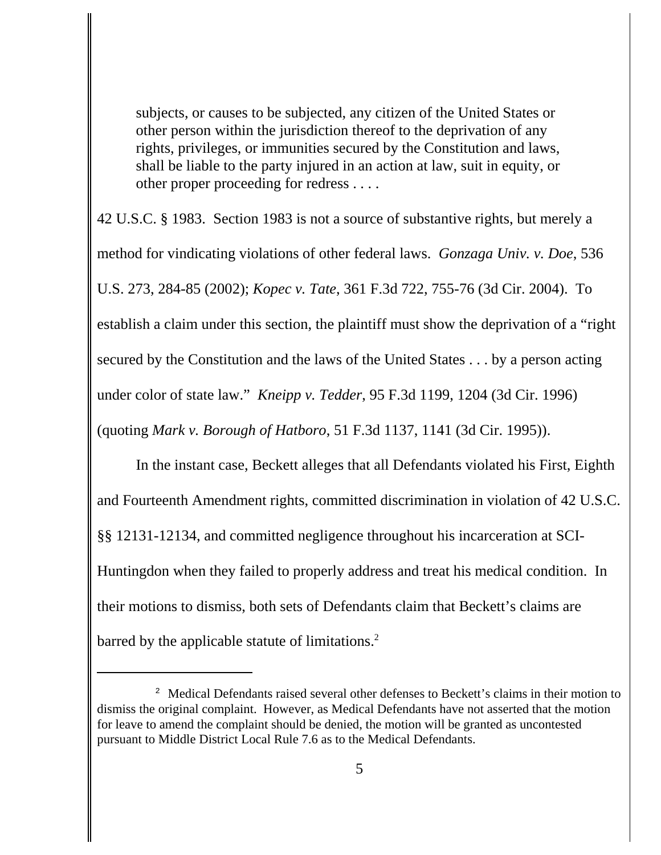subjects, or causes to be subjected, any citizen of the United States or other person within the jurisdiction thereof to the deprivation of any rights, privileges, or immunities secured by the Constitution and laws, shall be liable to the party injured in an action at law, suit in equity, or other proper proceeding for redress . . . .

42 U.S.C. § 1983. Section 1983 is not a source of substantive rights, but merely a method for vindicating violations of other federal laws. *Gonzaga Univ. v. Doe*, 536 U.S. 273, 284-85 (2002); *Kopec v. Tate*, 361 F.3d 722, 755-76 (3d Cir. 2004). To establish a claim under this section, the plaintiff must show the deprivation of a "right secured by the Constitution and the laws of the United States . . . by a person acting under color of state law." *Kneipp v. Tedder*, 95 F.3d 1199, 1204 (3d Cir. 1996) (quoting *Mark v. Borough of Hatboro*, 51 F.3d 1137, 1141 (3d Cir. 1995)).

In the instant case, Beckett alleges that all Defendants violated his First, Eighth and Fourteenth Amendment rights, committed discrimination in violation of 42 U.S.C. §§ 12131-12134, and committed negligence throughout his incarceration at SCI-Huntingdon when they failed to properly address and treat his medical condition. In their motions to dismiss, both sets of Defendants claim that Beckett's claims are barred by the applicable statute of limitations.<sup>2</sup>

<sup>&</sup>lt;sup>2</sup> Medical Defendants raised several other defenses to Beckett's claims in their motion to dismiss the original complaint. However, as Medical Defendants have not asserted that the motion for leave to amend the complaint should be denied, the motion will be granted as uncontested pursuant to Middle District Local Rule 7.6 as to the Medical Defendants.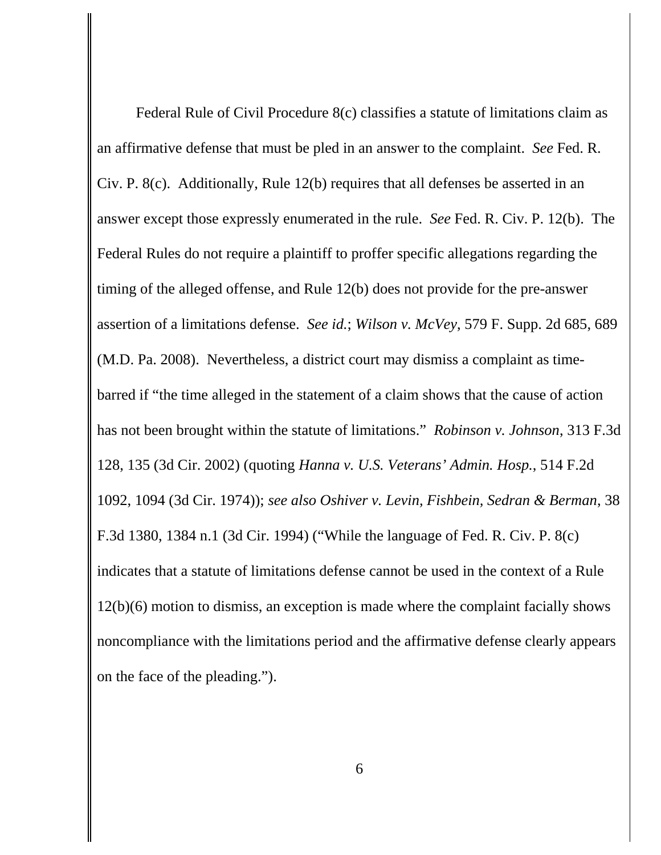Federal Rule of Civil Procedure 8(c) classifies a statute of limitations claim as an affirmative defense that must be pled in an answer to the complaint. *See* Fed. R. Civ. P. 8(c). Additionally, Rule 12(b) requires that all defenses be asserted in an answer except those expressly enumerated in the rule. *See* Fed. R. Civ. P. 12(b). The Federal Rules do not require a plaintiff to proffer specific allegations regarding the timing of the alleged offense, and Rule 12(b) does not provide for the pre-answer assertion of a limitations defense. *See id.*; *Wilson v. McVey*, 579 F. Supp. 2d 685, 689 (M.D. Pa. 2008). Nevertheless, a district court may dismiss a complaint as timebarred if "the time alleged in the statement of a claim shows that the cause of action has not been brought within the statute of limitations." *Robinson v. Johnson*, 313 F.3d 128, 135 (3d Cir. 2002) (quoting *Hanna v. U.S. Veterans' Admin. Hosp.*, 514 F.2d 1092, 1094 (3d Cir. 1974)); *see also Oshiver v. Levin, Fishbein, Sedran & Berman*, 38 F.3d 1380, 1384 n.1 (3d Cir. 1994) ("While the language of Fed. R. Civ. P. 8(c) indicates that a statute of limitations defense cannot be used in the context of a Rule 12(b)(6) motion to dismiss, an exception is made where the complaint facially shows noncompliance with the limitations period and the affirmative defense clearly appears on the face of the pleading.").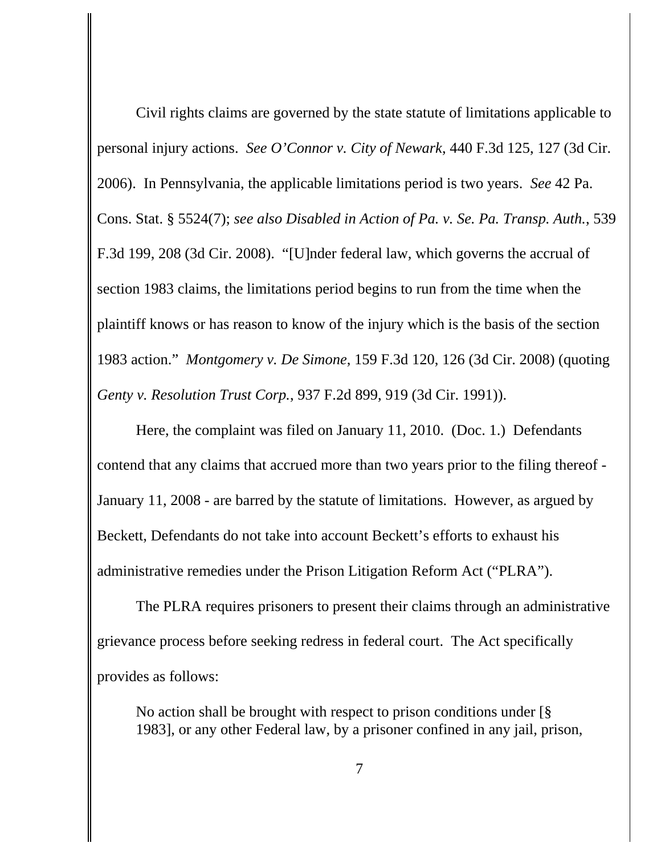Civil rights claims are governed by the state statute of limitations applicable to personal injury actions. *See O'Connor v. City of Newark*, 440 F.3d 125, 127 (3d Cir. 2006). In Pennsylvania, the applicable limitations period is two years. *See* 42 Pa. Cons. Stat. § 5524(7); *see also Disabled in Action of Pa. v. Se. Pa. Transp. Auth.*, 539 F.3d 199, 208 (3d Cir. 2008). "[U]nder federal law, which governs the accrual of section 1983 claims, the limitations period begins to run from the time when the plaintiff knows or has reason to know of the injury which is the basis of the section 1983 action." *Montgomery v. De Simone*, 159 F.3d 120, 126 (3d Cir. 2008) (quoting *Genty v. Resolution Trust Corp.*, 937 F.2d 899, 919 (3d Cir. 1991)).

Here, the complaint was filed on January 11, 2010. (Doc. 1.) Defendants contend that any claims that accrued more than two years prior to the filing thereof - January 11, 2008 - are barred by the statute of limitations. However, as argued by Beckett, Defendants do not take into account Beckett's efforts to exhaust his administrative remedies under the Prison Litigation Reform Act ("PLRA").

The PLRA requires prisoners to present their claims through an administrative grievance process before seeking redress in federal court. The Act specifically provides as follows:

No action shall be brought with respect to prison conditions under [§ 1983], or any other Federal law, by a prisoner confined in any jail, prison,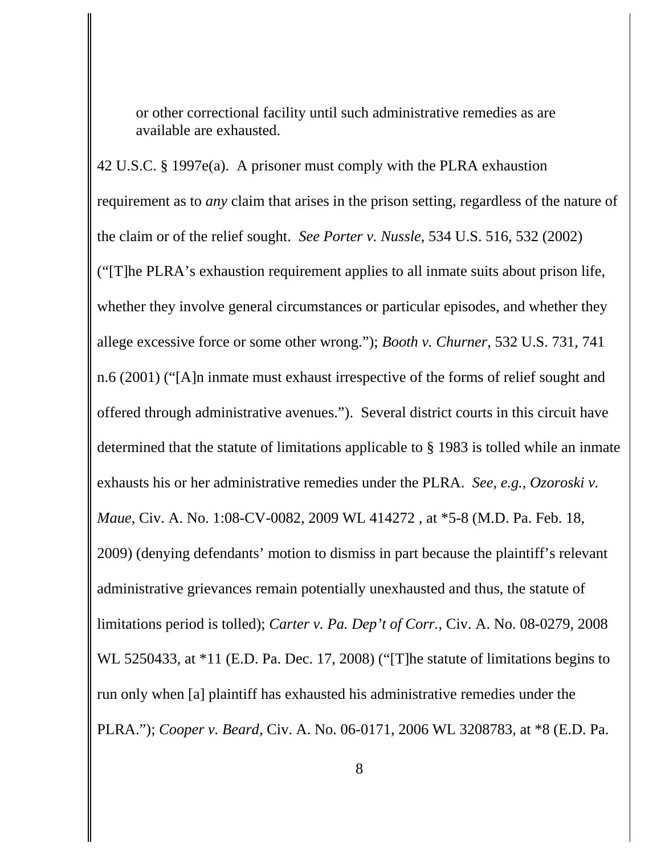or other correctional facility until such administrative remedies as are available are exhausted.

42 U.S.C. § 1997e(a). A prisoner must comply with the PLRA exhaustion requirement as to *any* claim that arises in the prison setting, regardless of the nature of the claim or of the relief sought. *See Porter v. Nussle*, 534 U.S. 516, 532 (2002) ("[T]he PLRA's exhaustion requirement applies to all inmate suits about prison life, whether they involve general circumstances or particular episodes, and whether they allege excessive force or some other wrong."); *Booth v. Churner*, 532 U.S. 731, 741 n.6 (2001) ("[A]n inmate must exhaust irrespective of the forms of relief sought and offered through administrative avenues."). Several district courts in this circuit have determined that the statute of limitations applicable to § 1983 is tolled while an inmate exhausts his or her administrative remedies under the PLRA. *See, e.g.*, *Ozoroski v. Maue*, Civ. A. No. 1:08-CV-0082, 2009 WL 414272 , at \*5-8 (M.D. Pa. Feb. 18, 2009) (denying defendants' motion to dismiss in part because the plaintiff's relevant administrative grievances remain potentially unexhausted and thus, the statute of limitations period is tolled); *Carter v. Pa. Dep't of Corr.*, Civ. A. No. 08-0279, 2008 WL 5250433, at \*11 (E.D. Pa. Dec. 17, 2008) ("[T]he statute of limitations begins to run only when [a] plaintiff has exhausted his administrative remedies under the PLRA."); *Cooper v. Beard*, Civ. A. No. 06-0171, 2006 WL 3208783, at \*8 (E.D. Pa.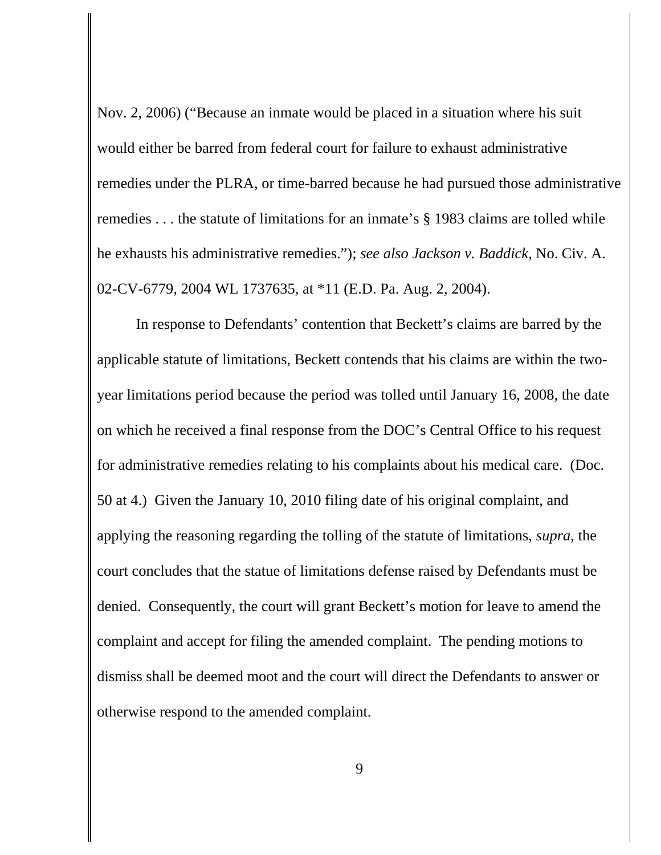Nov. 2, 2006) ("Because an inmate would be placed in a situation where his suit would either be barred from federal court for failure to exhaust administrative remedies under the PLRA, or time-barred because he had pursued those administrative remedies . . . the statute of limitations for an inmate's § 1983 claims are tolled while he exhausts his administrative remedies."); *see also Jackson v. Baddick*, No. Civ. A. 02-CV-6779, 2004 WL 1737635, at \*11 (E.D. Pa. Aug. 2, 2004).

In response to Defendants' contention that Beckett's claims are barred by the applicable statute of limitations, Beckett contends that his claims are within the twoyear limitations period because the period was tolled until January 16, 2008, the date on which he received a final response from the DOC's Central Office to his request for administrative remedies relating to his complaints about his medical care. (Doc. 50 at 4.) Given the January 10, 2010 filing date of his original complaint, and applying the reasoning regarding the tolling of the statute of limitations, *supra*, the court concludes that the statue of limitations defense raised by Defendants must be denied. Consequently, the court will grant Beckett's motion for leave to amend the complaint and accept for filing the amended complaint. The pending motions to dismiss shall be deemed moot and the court will direct the Defendants to answer or otherwise respond to the amended complaint.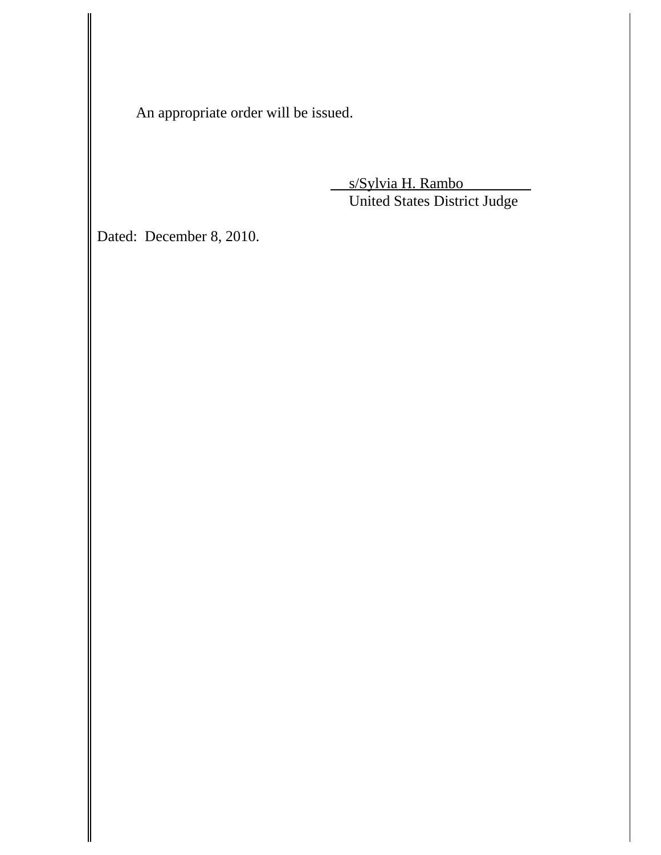An appropriate order will be issued.

 s/Sylvia H. Rambo United States District Judge

Dated: December 8, 2010.